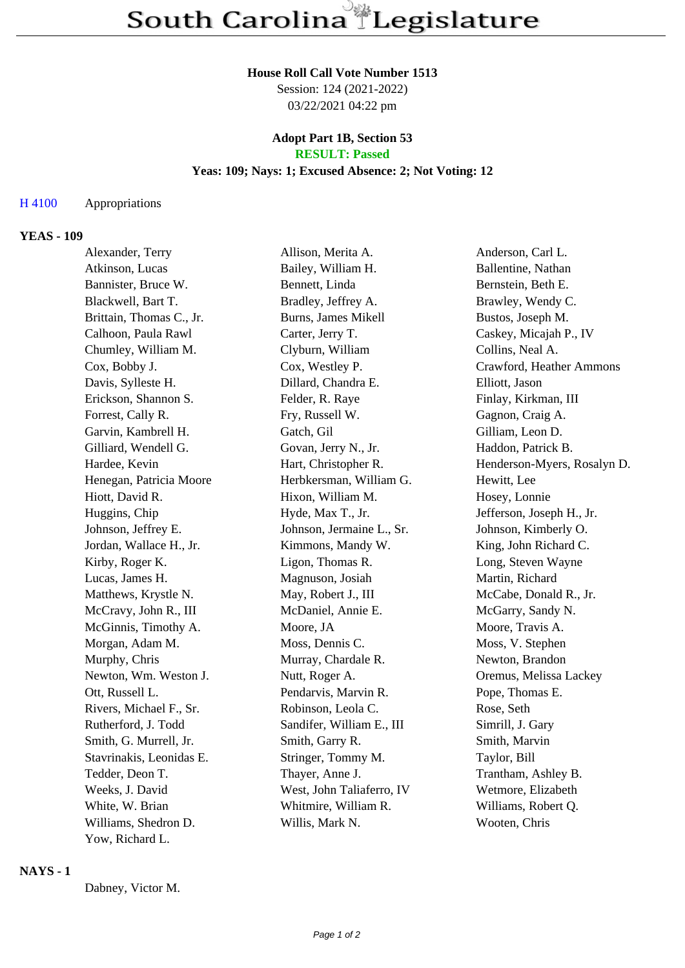#### **House Roll Call Vote Number 1513**

Session: 124 (2021-2022) 03/22/2021 04:22 pm

## **Adopt Part 1B, Section 53 RESULT: Passed**

# **Yeas: 109; Nays: 1; Excused Absence: 2; Not Voting: 12**

## H 4100 Appropriations

### **YEAS - 109**

| Alexander, Terry         | Allison, Merita A.         | Anderson, Carl L.           |
|--------------------------|----------------------------|-----------------------------|
| Atkinson, Lucas          | Bailey, William H.         | Ballentine, Nathan          |
| Bannister, Bruce W.      | Bennett, Linda             | Bernstein, Beth E.          |
| Blackwell, Bart T.       | Bradley, Jeffrey A.        | Brawley, Wendy C.           |
| Brittain, Thomas C., Jr. | <b>Burns, James Mikell</b> | Bustos, Joseph M.           |
| Calhoon, Paula Rawl      | Carter, Jerry T.           | Caskey, Micajah P., IV      |
| Chumley, William M.      | Clyburn, William           | Collins, Neal A.            |
| Cox, Bobby J.            | Cox, Westley P.            | Crawford, Heather Ammons    |
| Davis, Sylleste H.       | Dillard, Chandra E.        | Elliott, Jason              |
| Erickson, Shannon S.     | Felder, R. Raye            | Finlay, Kirkman, III        |
| Forrest, Cally R.        | Fry, Russell W.            | Gagnon, Craig A.            |
| Garvin, Kambrell H.      | Gatch, Gil                 | Gilliam, Leon D.            |
| Gilliard, Wendell G.     | Govan, Jerry N., Jr.       | Haddon, Patrick B.          |
| Hardee, Kevin            | Hart, Christopher R.       | Henderson-Myers, Rosalyn D. |
| Henegan, Patricia Moore  | Herbkersman, William G.    | Hewitt, Lee                 |
| Hiott, David R.          | Hixon, William M.          | Hosey, Lonnie               |
| Huggins, Chip            | Hyde, Max T., Jr.          | Jefferson, Joseph H., Jr.   |
| Johnson, Jeffrey E.      | Johnson, Jermaine L., Sr.  | Johnson, Kimberly O.        |
| Jordan, Wallace H., Jr.  | Kimmons, Mandy W.          | King, John Richard C.       |
| Kirby, Roger K.          | Ligon, Thomas R.           | Long, Steven Wayne          |
| Lucas, James H.          | Magnuson, Josiah           | Martin, Richard             |
| Matthews, Krystle N.     | May, Robert J., III        | McCabe, Donald R., Jr.      |
| McCravy, John R., III    | McDaniel, Annie E.         | McGarry, Sandy N.           |
| McGinnis, Timothy A.     | Moore, JA                  | Moore, Travis A.            |
| Morgan, Adam M.          | Moss, Dennis C.            | Moss, V. Stephen            |
| Murphy, Chris            | Murray, Chardale R.        | Newton, Brandon             |
| Newton, Wm. Weston J.    | Nutt, Roger A.             | Oremus, Melissa Lackey      |
| Ott, Russell L.          | Pendarvis, Marvin R.       | Pope, Thomas E.             |
| Rivers, Michael F., Sr.  | Robinson, Leola C.         | Rose, Seth                  |
| Rutherford, J. Todd      | Sandifer, William E., III  | Simrill, J. Gary            |
| Smith, G. Murrell, Jr.   | Smith, Garry R.            | Smith, Marvin               |
| Stavrinakis, Leonidas E. | Stringer, Tommy M.         | Taylor, Bill                |
| Tedder, Deon T.          | Thayer, Anne J.            | Trantham, Ashley B.         |
| Weeks, J. David          | West, John Taliaferro, IV  | Wetmore, Elizabeth          |
| White, W. Brian          | Whitmire, William R.       | Williams, Robert Q.         |
| Williams, Shedron D.     | Willis, Mark N.            | Wooten, Chris               |
| Yow, Richard L.          |                            |                             |

#### **NAYS - 1**

Dabney, Victor M.